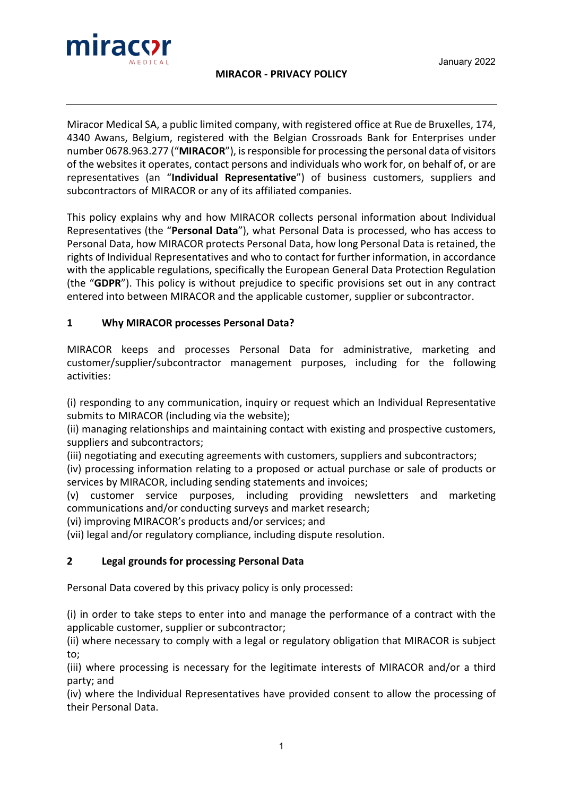

**MIRACOR - PRIVACY POLICY**

Miracor Medical SA, a public limited company, with registered office at Rue de Bruxelles, 174, 4340 Awans, Belgium, registered with the Belgian Crossroads Bank for Enterprises under number 0678.963.277 ("**MIRACOR**"), is responsible for processing the personal data of visitors of the websites it operates, contact persons and individuals who work for, on behalf of, or are representatives (an "**Individual Representative**") of business customers, suppliers and subcontractors of MIRACOR or any of its affiliated companies.

This policy explains why and how MIRACOR collects personal information about Individual Representatives (the "**Personal Data**"), what Personal Data is processed, who has access to Personal Data, how MIRACOR protects Personal Data, how long Personal Data is retained, the rights of Individual Representatives and who to contact for further information, in accordance with the applicable regulations, specifically the European General Data Protection Regulation (the "**GDPR**"). This policy is without prejudice to specific provisions set out in any contract entered into between MIRACOR and the applicable customer, supplier or subcontractor.

## **1 Why MIRACOR processes Personal Data?**

MIRACOR keeps and processes Personal Data for administrative, marketing and customer/supplier/subcontractor management purposes, including for the following activities:

(i) responding to any communication, inquiry or request which an Individual Representative submits to MIRACOR (including via the website);

(ii) managing relationships and maintaining contact with existing and prospective customers, suppliers and subcontractors;

(iii) negotiating and executing agreements with customers, suppliers and subcontractors;

(iv) processing information relating to a proposed or actual purchase or sale of products or services by MIRACOR, including sending statements and invoices;

(v) customer service purposes, including providing newsletters and marketing communications and/or conducting surveys and market research;

(vi) improving MIRACOR's products and/or services; and

(vii) legal and/or regulatory compliance, including dispute resolution.

# **2 Legal grounds for processing Personal Data**

Personal Data covered by this privacy policy is only processed:

(i) in order to take steps to enter into and manage the performance of a contract with the applicable customer, supplier or subcontractor;

(ii) where necessary to comply with a legal or regulatory obligation that MIRACOR is subject to;

(iii) where processing is necessary for the legitimate interests of MIRACOR and/or a third party; and

(iv) where the Individual Representatives have provided consent to allow the processing of their Personal Data.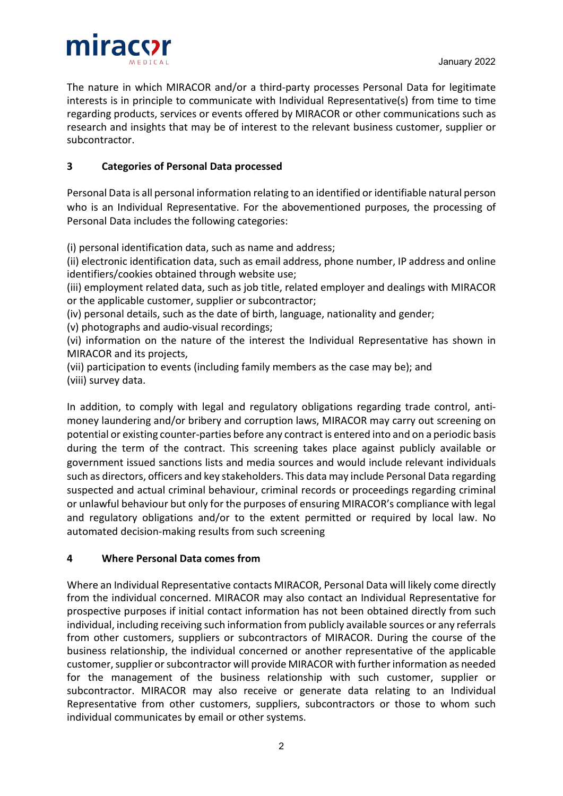

The nature in which MIRACOR and/or a third-party processes Personal Data for legitimate interests is in principle to communicate with Individual Representative(s) from time to time regarding products, services or events offered by MIRACOR or other communications such as research and insights that may be of interest to the relevant business customer, supplier or subcontractor.

## **3 Categories of Personal Data processed**

Personal Data is all personal information relating to an identified or identifiable natural person who is an Individual Representative. For the abovementioned purposes, the processing of Personal Data includes the following categories:

(i) personal identification data, such as name and address;

(ii) electronic identification data, such as email address, phone number, IP address and online identifiers/cookies obtained through website use;

(iii) employment related data, such as job title, related employer and dealings with MIRACOR or the applicable customer, supplier or subcontractor;

(iv) personal details, such as the date of birth, language, nationality and gender;

(v) photographs and audio-visual recordings;

(vi) information on the nature of the interest the Individual Representative has shown in MIRACOR and its projects,

(vii) participation to events (including family members as the case may be); and (viii) survey data.

In addition, to comply with legal and regulatory obligations regarding trade control, antimoney laundering and/or bribery and corruption laws, MIRACOR may carry out screening on potential or existing counter-parties before any contract is entered into and on a periodic basis during the term of the contract. This screening takes place against publicly available or government issued sanctions lists and media sources and would include relevant individuals such as directors, officers and key stakeholders. This data may include Personal Data regarding suspected and actual criminal behaviour, criminal records or proceedings regarding criminal or unlawful behaviour but only for the purposes of ensuring MIRACOR's compliance with legal and regulatory obligations and/or to the extent permitted or required by local law. No automated decision-making results from such screening

### **4 Where Personal Data comes from**

Where an Individual Representative contacts MIRACOR, Personal Data will likely come directly from the individual concerned. MIRACOR may also contact an Individual Representative for prospective purposes if initial contact information has not been obtained directly from such individual, including receiving such information from publicly available sources or any referrals from other customers, suppliers or subcontractors of MIRACOR. During the course of the business relationship, the individual concerned or another representative of the applicable customer, supplier or subcontractor will provide MIRACOR with further information as needed for the management of the business relationship with such customer, supplier or subcontractor. MIRACOR may also receive or generate data relating to an Individual Representative from other customers, suppliers, subcontractors or those to whom such individual communicates by email or other systems.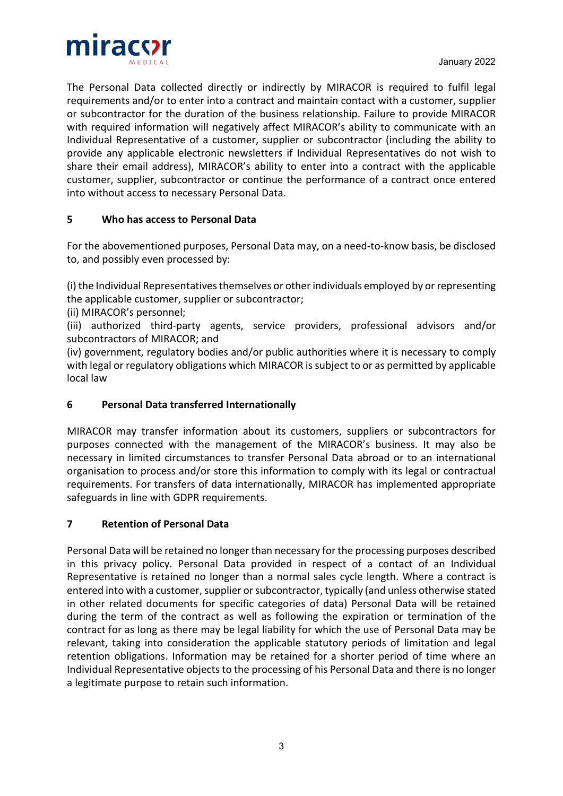

The Personal Data collected directly or indirectly by MIRACOR is required to fulfil legal requirements and/or to enter into a contract and maintain contact with a customer, supplier or subcontractor for the duration of the business relationship. Failure to provide MIRACOR with required information will negatively affect MIRACOR's ability to communicate with an Individual Representative of a customer, supplier or subcontractor (including the ability to provide any applicable electronic newsletters if Individual Representatives do not wish to share their email address), MIRACOR's ability to enter into a contract with the applicable customer, supplier, subcontractor or continue the performance of a contract once entered into without access to necessary Personal Data.

# **5 Who has access to Personal Data**

For the abovementioned purposes, Personal Data may, on a need-to-know basis, be disclosed to, and possibly even processed by:

(i) the Individual Representatives themselves or other individuals employed by or representing the applicable customer, supplier or subcontractor;

(ii) MIRACOR's personnel;

(iii) authorized third-party agents, service providers, professional advisors and/or subcontractors of MIRACOR; and

(iv) government, regulatory bodies and/or public authorities where it is necessary to comply with legal or regulatory obligations which MIRACOR is subject to or as permitted by applicable local law

# **6 Personal Data transferred Internationally**

MIRACOR may transfer information about its customers, suppliers or subcontractors for purposes connected with the management of the MIRACOR's business. It may also be necessary in limited circumstances to transfer Personal Data abroad or to an international organisation to process and/or store this information to comply with its legal or contractual requirements. For transfers of data internationally, MIRACOR has implemented appropriate safeguards in line with GDPR requirements.

### **7 Retention of Personal Data**

Personal Data will be retained no longer than necessary for the processing purposes described in this privacy policy. Personal Data provided in respect of a contact of an Individual Representative is retained no longer than a normal sales cycle length. Where a contract is entered into with a customer, supplier or subcontractor, typically (and unless otherwise stated in other related documents for specific categories of data) Personal Data will be retained during the term of the contract as well as following the expiration or termination of the contract for as long as there may be legal liability for which the use of Personal Data may be relevant, taking into consideration the applicable statutory periods of limitation and legal retention obligations. Information may be retained for a shorter period of time where an Individual Representative objects to the processing of his Personal Data and there is no longer a legitimate purpose to retain such information.